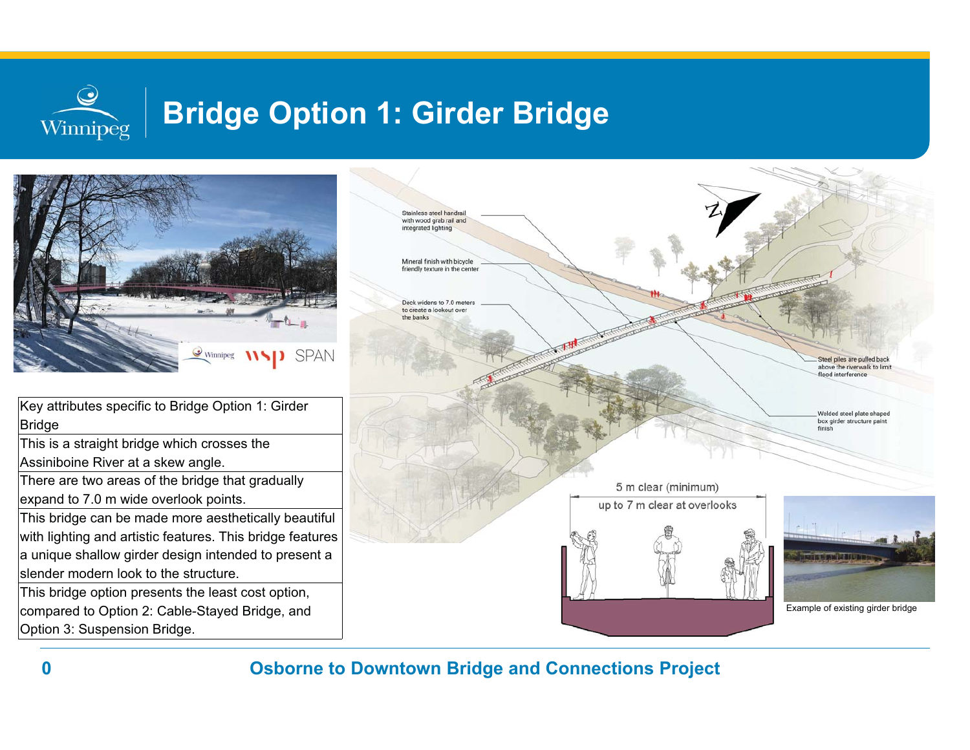## $\bm{\mathcal{Q}}$ **Bridge Option 1: Girder Bridge** Winnipeg



Key attributes specific to Bridge Option 1: Girder Bridge

This is a straight bridge which crosses the Assiniboine River at a skew angle.

There are two areas of the bridge that gradually expand to 7.0 m wide overlook points.

This bridge can be made more aesthetically beautiful with lighting and artistic features. This bridge features a unique shallow girder design intended to present a slender modern look to the structure.

This bridge option presents the least cost option, compared to Option 2: Cable-Stayed Bridge, and Option 3: Suspension Bridge.

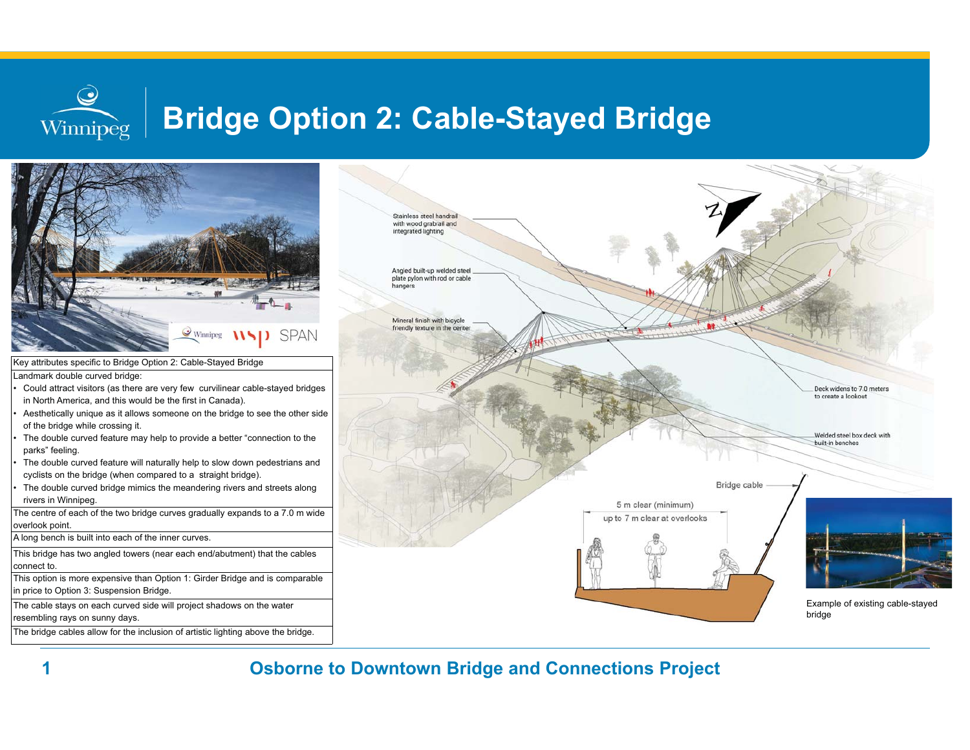# **Bridge Option 2: Cable-Stayed Bridge**



**Osborne to Downtown Bridge and Connections Project**

**1**

 $\bigcirc$ 

Winnipeg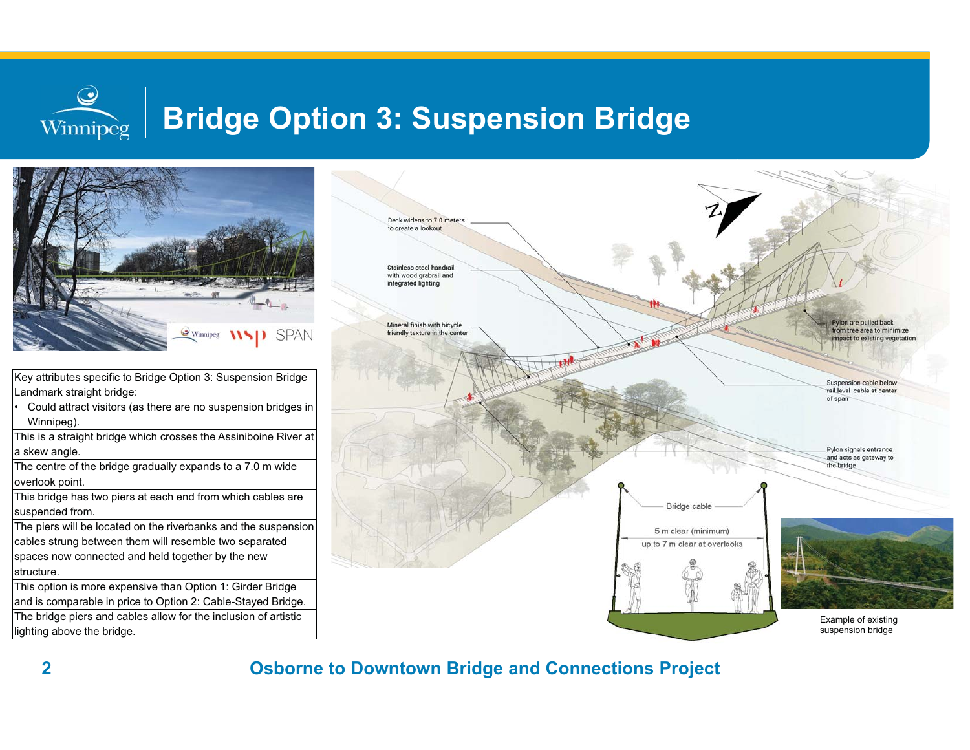# **Bridge Option 3: Suspension Bridge**



**Osborne to Downtown Bridge and Connections Project**

•

 $\bf Q$ 

Winnipeg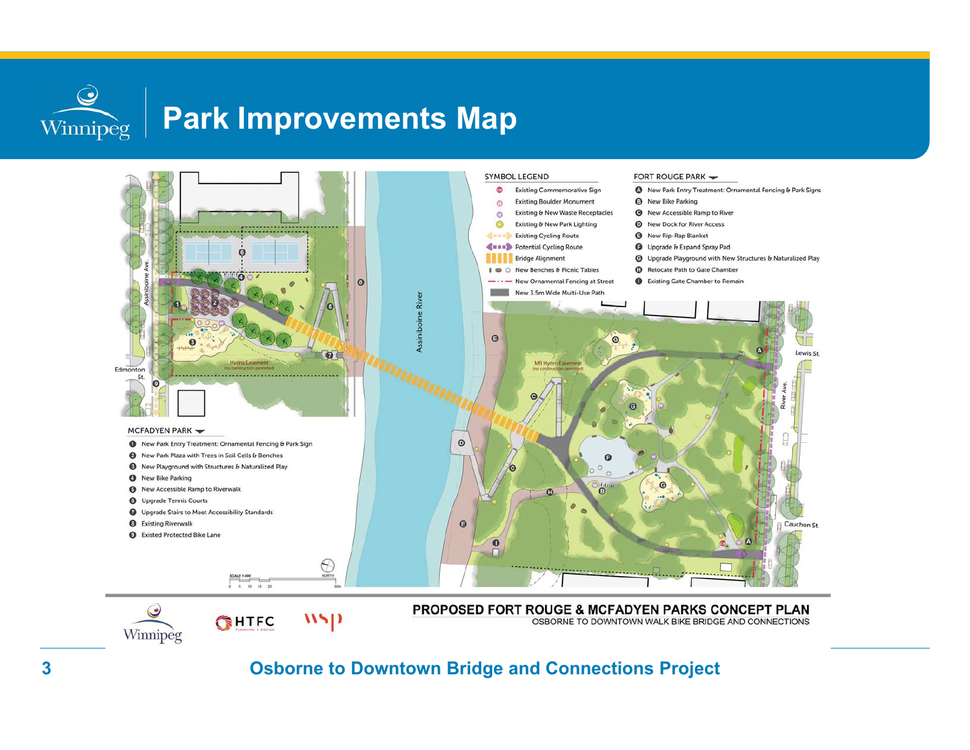$\bigcirc$ Winnipeg

# **Park Improvements Map**

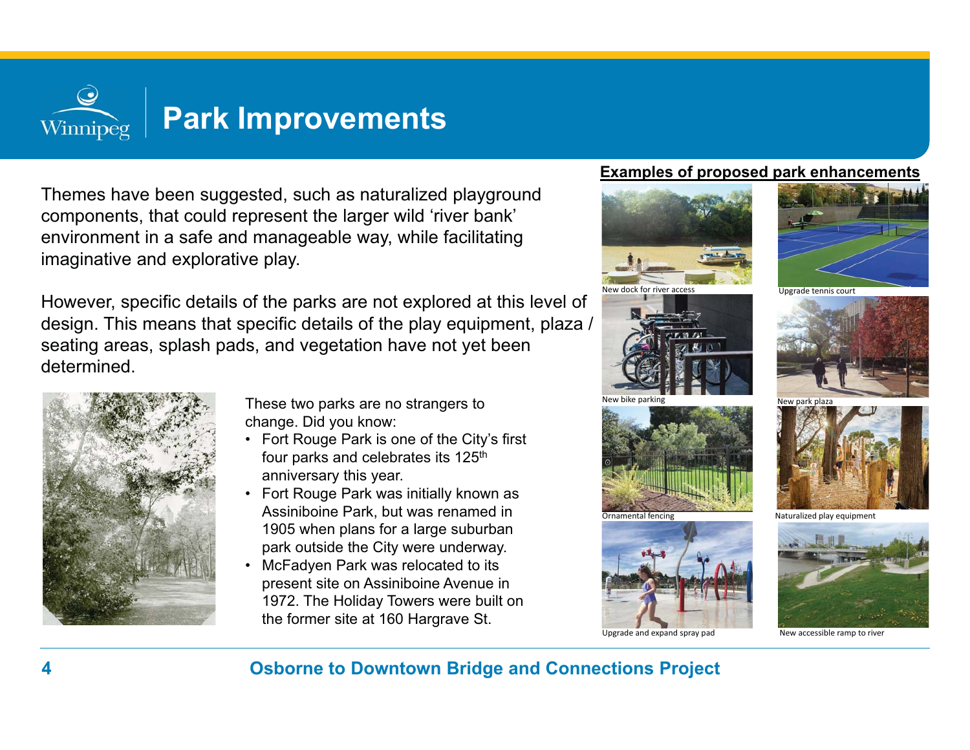

Themes have been suggested, such as naturalized playground components, that could represent the larger wild 'river bank' environment in a safe and manageable way, while facilitating imaginative and explorative play.

However, specific details of the parks are not explored at this level of design. This means that specific details of the play equipment, plaza / seating areas, splash pads, and vegetation have not yet been determined.



These two parks are no strangers to change. Did you know:

- Fort Rouge Park is one of the City's first four parks and celebrates its 125<sup>th</sup> anniversary this year.
- Fort Rouge Park was initially known as Assiniboine Park, but was renamed in 1905 when plans for a large suburban park outside the City were underway.
- McFadyen Park was relocated to its present site on Assiniboine Avenue in 1972. The Holiday Towers were built on the former site at 160 Hargrave St.

## **Examples of proposed park enhancements**











Upgrade and expand spray pad New accessible ramp to rive



Naturalized play equipment

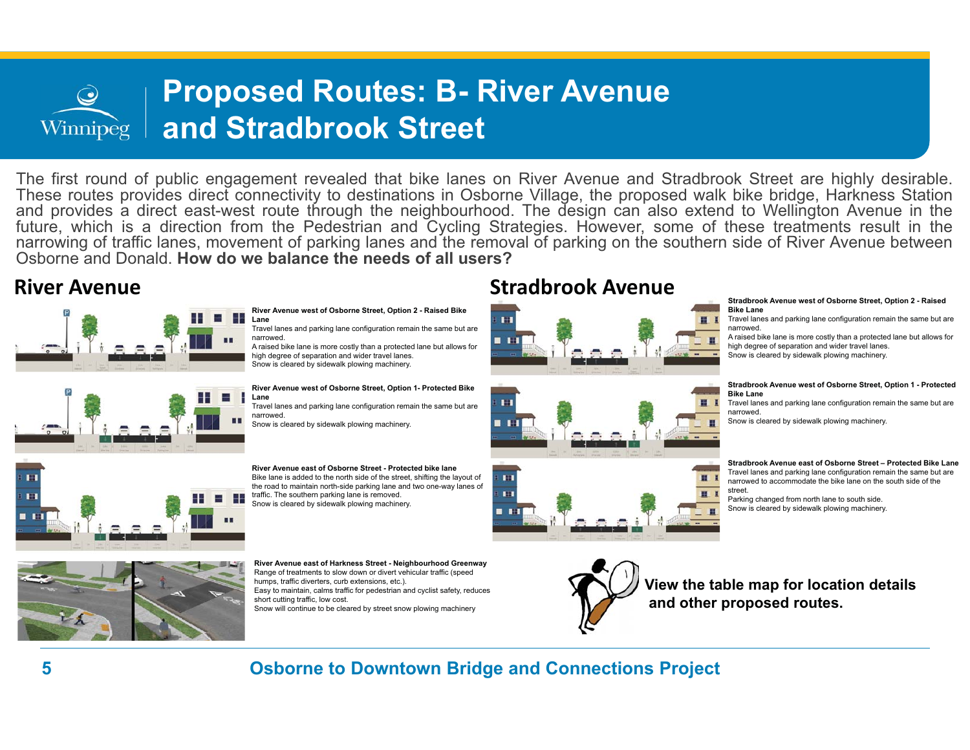## **Proposed Routes: B- River Avenue and Stradbrook Street**  Winnipeg

The first round of public engagement revealed that bike lanes on River Avenue and Stradbrook Street are highly desirable. These routes provides direct connectivity to destinations in Osborne Village, the proposed walk bike bridge, Harkness Station and provides <sup>a</sup> direct east-west route through the neighbourhood. The design can also extend to Wellington Avenue in the future, which is <sup>a</sup> direction from the Pedestrian and Cycling Strategies. However, some of these treatments result in the narrowing of traffic lanes, movement of parking lanes and the removal of parking on the southern side of River Avenue between Osborne and Donald. **How do we balance the needs of all users?**





**River Avenue west of Osborne Street, Option 2 - Raised Bike Lane**

Travel lanes and parking lane configuration remain the same but are narrowed.

 A raised bike lane is more costly than a protected lane but allows for high degree of separation and wider travel lanes. Snow is cleared by sidewalk plowing machinery.

**River Avenue west of Osborne Street, Option 1- Protected Bike Lane**Travel lanes and parking lane configuration remain the same but are

narrowed. Snow is cleared by sidewalk plowing machinery.

**River Avenue east of Osborne Street - Protected bike lane**Bike lane is added to the north side of the street, shifting the layout of the road to maintain north-side parking lane and two one-way lanes of traffic. The southern parking lane is removed. Snow is cleared by sidewalk plowing machinery.

**River Avenue east of Harkness Street - Neighbourhood Greenway** Range of treatments to slow down or divert vehicular traffic (speed humps, traffic diverters, curb extensions, etc.). Easy to maintain, calms traffic for pedestrian and cyclist safety, reduces short cutting traffic, low cost. Snow will continue to be cleared by street snow plowing machinery

# **River Avenue Community Community Community Community Community Community Community Community Community Community**



### **Stradbrook Avenue west of Osborne Street, Option 2 - Raised Bike Lane**

 Travel lanes and parking lane configuration remain the same but are narrowed.

A raised bike lane is more costly than a protected lane but allows for high degree of separation and wider travel lanes. Snow is cleared by sidewalk plowing machinery.

### **Stradbrook Avenue west of Osborne Street, Option 1 - Protected Bike Lane**

 Travel lanes and parking lane configuration remain the same but are narrowed.

Snow is cleared by sidewalk plowing machinery.

### **Stradbrook Avenue east of Osborne Street – Protected Bike Lane**

Travel lanes and parking lane configuration remain the same but are narrowed to accommodate the bike lane on the south side of the street.

 Parking changed from north lane to south side. Snow is cleared by sidewalk plowing machinery.





**View the table map for location details and other proposed routes.**